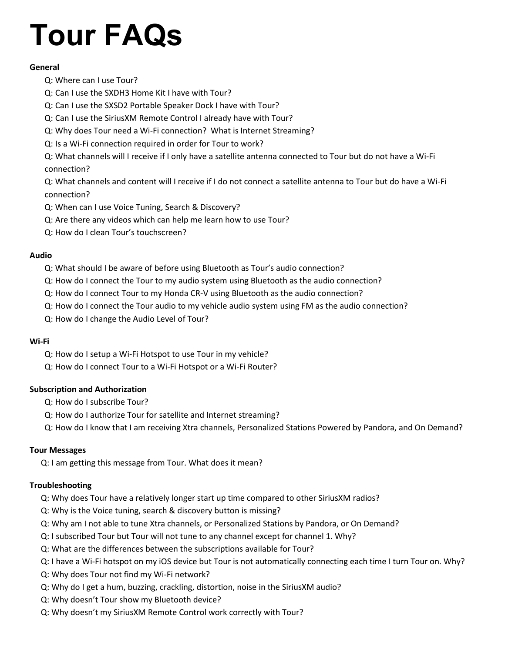# **Tour FAQs**

# **General**

- [Q: Where can I use Tour?](#page-2-0)
- [Q: Can I use the SXDH3 Home Kit I have with Tour?](#page-2-1)
- [Q: Can I use the SXSD2 Portable Speaker Dock I have with Tour?](#page-2-2)
- [Q: Can I use the SiriusXM Remote Control I already have with Tour?](#page-2-3)
- [Q: Why does Tour need a Wi-Fi connection? What is Internet Streaming?](#page-2-4)
- [Q: Is a Wi-Fi connection required in order for Tour to work?](#page-3-0)
- Q: What channels will I [receive if I only have a satellite antenna connected to Tour but do not have a Wi-Fi](#page-3-1)  [connection?](#page-3-1)

[Q: What channels and content will I receive if I do not connect a satellite antenna to Tour but do have a Wi-Fi](#page-3-2)  [connection?](#page-3-2)

- [Q: When can I use Voice Tuning, Search & Discovery?](#page-3-3)
- [Q: Are there any videos which can help me learn how to use](#page-3-4) Tour?
- [Q: How do I clean Tour's touchscreen?](#page-3-5)

# **Audio**

- [Q: What should I be aware of before using Bluetooth as Tour's audio connection?](#page-3-6)
- [Q: How do I connect the Tour to my audio system using Bluetooth as the audio connection?](#page-4-0)
- [Q: How do I connect Tour to my Honda CR-V using Bluetooth as the audio connection?](#page-6-0)
- [Q: How do I connect the Tour audio to my vehicle audio system using FM as the audio connection?](#page-6-1)
- [Q: How do I change the Audio Level of Tour?](#page-6-2)

# **Wi-Fi**

- [Q: How do I setup a Wi-Fi Hotspot to use Tour in my vehicle?](#page-7-0)
- [Q: How do I connect Tour to a Wi-Fi Hotspot or a Wi-Fi Router?](#page-8-0)

# **Subscription and Authorization**

- [Q: How do I subscribe Tour?](#page-8-1)
- [Q: How do I authorize Tour for satellite and Internet streaming?](#page-8-2)
- Q: How do I know that I am receiving Xtra [channels, Personalized Stations Powered by Pandora, and On Demand?](#page-9-0)

# **Tour Messages**

Q: I am getting this message from Tour. What does it mean?

# **Troubleshooting**

- [Q: Why does Tour have a relatively longer start up time compared to other SiriusXM radios?](#page-11-0)
- [Q: Why is the Voice tuning, search](#page-11-1) & discovery button is missing?
- [Q: Why am I not able to tune Xtra channels, or Personalized Stations by Pandora, or On Demand?](#page-12-0)
- [Q: I subscribed Tour but Tour will not tune to any channel except for channel 1. Why?](#page-12-1)
- [Q: What are the differences between the subscriptions available for Tour?](#page-12-2)
- [Q: I have a Wi-Fi hotspot on my iOS device but Tour is not automatically connecting each time I turn Tour on. Why?](#page-12-3)
- [Q: Why does Tour not find my Wi-Fi network?](#page-12-4)
- [Q: Why do I get a hum, buzzing, crackling, distortion, noise in the SiriusXM audio?](#page-12-5)
- [Q: Why doesn't Tour show my Bluetooth device?](#page-12-6)
- [Q: Why doesn't my SiriusXM Remote Control work correctly with Tour?](#page-12-7)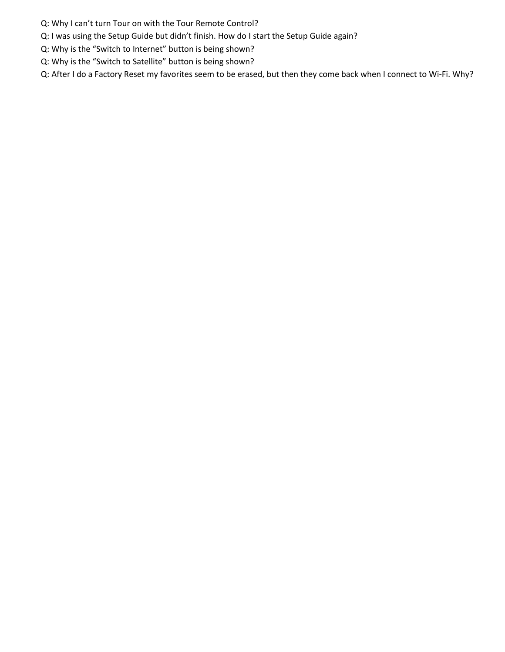- [Q: Why I can't turn Tour on with the Tour Remote Control?](#page-12-8)
- [Q: I was using the Setup Guide but didn't finish. How do I start the Setup Guide again?](#page-12-9)
- [Q: Why is the "Switch to Internet" button is being shown?](#page-13-0)
- [Q: Why is the "Switch to Satellite" button is being shown?](#page-13-1)

[Q: After I do a Factory Reset my favorites seem to be erased, but then they come back when I connect to Wi-Fi. Why?](#page-13-2)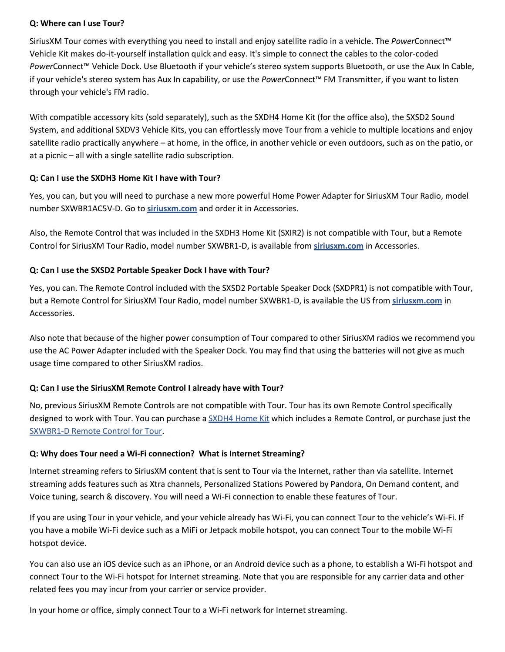#### <span id="page-2-0"></span>**Q: Where can I use Tour?**

SiriusXM Tour comes with everything you need to install and enjoy satellite radio in a vehicle. The *Power*Connect™ Vehicle Kit makes do-it-yourself installation quick and easy. It's simple to connect the cables to the color-coded *Power*Connect™ Vehicle Dock. Use Bluetooth if your vehicle's stereo system supports Bluetooth, or use the Aux In Cable, if your vehicle's stereo system has Aux In capability, or use the *Power*Connect™ FM Transmitter, if you want to listen through your vehicle's FM radio.

With compatible accessory kits (sold separately), such as the SXDH4 Home Kit (for the office also), the SXSD2 Sound System, and additional SXDV3 Vehicle Kits, you can effortlessly move Tour from a vehicle to multiple locations and enjoy satellite radio practically anywhere – at home, in the office, in another vehicle or even outdoors, such as on the patio, or at a picnic – all with a single satellite radio subscription.

# <span id="page-2-1"></span>**Q: Can I use the SXDH3 Home Kit I have with Tour?**

Yes, you can, but you will need to purchase a new more powerful Home Power Adapter for SiriusXM Tour Radio, model number SXWBR1AC5V-D. Go to **[siriusxm.com](http://siriusxm.com/)** and order it in Accessories.

Also, the Remote Control that was included in the SXDH3 Home Kit (SXIR2) is not compatible with Tour, but a Remote Control for SiriusXM Tour Radio, model number SXWBR1-D, is available from **[siriusxm.com](http://siriusxm.com/)** in Accessories.

# <span id="page-2-2"></span>**Q: Can I use the SXSD2 Portable Speaker Dock I have with Tour?**

Yes, you can. The Remote Control included with the SXSD2 Portable Speaker Dock (SXDPR1) is not compatible with Tour, but a Remote Control for SiriusXM Tour Radio, model number SXWBR1-D, is available the US from **[siriusxm.com](http://siriusxm.com/)** in Accessories.

Also note that because of the higher power consumption of Tour compared to other SiriusXM radios we recommend you use the AC Power Adapter included with the Speaker Dock. You may find that using the batteries will not give as much usage time compared to other SiriusXM radios.

# <span id="page-2-3"></span>**Q: Can I use the SiriusXM Remote Control I already have with Tour?**

No, previous SiriusXM Remote Controls are not compatible with Tour. Tour has its own Remote Control specifically designed to work with Tour. You can purchase a [SXDH4 Home Kit](https://shop.siriusxm.com/siriusxm-dock-and-play-hk-dh4) which includes a Remote Control, or purchase just the [SXWBR1-D Remote Control for Tour.](https://shop.siriusxm.com/Remote-Control-for-SiriusXM-Tour-Radio)

# <span id="page-2-4"></span>**Q: Why does Tour need a Wi-Fi connection? What is Internet Streaming?**

Internet streaming refers to SiriusXM content that is sent to Tour via the Internet, rather than via satellite. Internet streaming adds features such as Xtra channels, Personalized Stations Powered by Pandora, On Demand content, and Voice tuning, search & discovery. You will need a Wi-Fi connection to enable these features of Tour.

If you are using Tour in your vehicle, and your vehicle already has Wi-Fi, you can connect Tour to the vehicle's Wi-Fi. If you have a mobile Wi-Fi device such as a MiFi or Jetpack mobile hotspot, you can connect Tour to the mobile Wi-Fi hotspot device.

You can also use an iOS device such as an iPhone, or an Android device such as a phone, to establish a Wi-Fi hotspot and connect Tour to the Wi-Fi hotspot for Internet streaming. Note that you are responsible for any carrier data and other related fees you may incur from your carrier or service provider.

In your home or office, simply connect Tour to a Wi-Fi network for Internet streaming.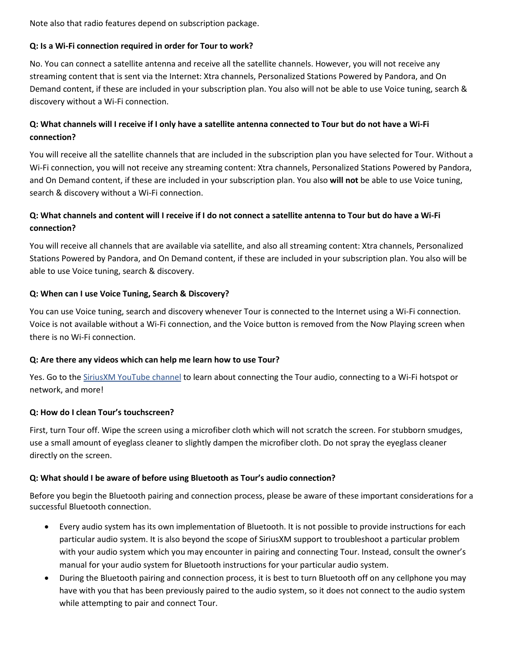Note also that radio features depend on subscription package.

# <span id="page-3-0"></span>**Q: Is a Wi-Fi connection required in order for Tour to work?**

No. You can connect a satellite antenna and receive all the satellite channels. However, you will not receive any streaming content that is sent via the Internet: Xtra channels, Personalized Stations Powered by Pandora, and On Demand content, if these are included in your subscription plan. You also will not be able to use Voice tuning, search & discovery without a Wi-Fi connection.

# <span id="page-3-1"></span>**Q: What channels will I receive if I only have a satellite antenna connected to Tour but do not have a Wi-Fi connection?**

You will receive all the satellite channels that are included in the subscription plan you have selected for Tour. Without a Wi-Fi connection, you will not receive any streaming content: Xtra channels, Personalized Stations Powered by Pandora, and On Demand content, if these are included in your subscription plan. You also **will not** be able to use Voice tuning, search & discovery without a Wi-Fi connection.

# <span id="page-3-2"></span>**Q: What channels and content will I receive if I do not connect a satellite antenna to Tour but do have a Wi-Fi connection?**

You will receive all channels that are available via satellite, and also all streaming content: Xtra channels, Personalized Stations Powered by Pandora, and On Demand content, if these are included in your subscription plan. You also will be able to use Voice tuning, search & discovery.

# <span id="page-3-3"></span>**Q: When can I use Voice Tuning, Search & Discovery?**

You can use Voice tuning, search and discovery whenever Tour is connected to the Internet using a Wi-Fi connection. Voice is not available without a Wi-Fi connection, and the Voice button is removed from the Now Playing screen when there is no Wi-Fi connection.

# <span id="page-3-4"></span>**Q: Are there any videos which can help me learn how to use Tour?**

Yes. Go to the [SiriusXM YouTube channel](https://www.youtube.com/channel/UCba0F9etnXkGyWxSxyxO5LA) to learn about connecting the Tour audio, connecting to a Wi-Fi hotspot or network, and more!

# <span id="page-3-5"></span>**Q: How do I clean Tour's touchscreen?**

First, turn Tour off. Wipe the screen using a microfiber cloth which will not scratch the screen. For stubborn smudges, use a small amount of eyeglass cleaner to slightly dampen the microfiber cloth. Do not spray the eyeglass cleaner directly on the screen.

# <span id="page-3-6"></span>**Q: What should I be aware of before using Bluetooth as Tour's audio connection?**

Before you begin the Bluetooth pairing and connection process, please be aware of these important considerations for a successful Bluetooth connection.

- Every audio system has its own implementation of Bluetooth. It is not possible to provide instructions for each particular audio system. It is also beyond the scope of SiriusXM support to troubleshoot a particular problem with your audio system which you may encounter in pairing and connecting Tour. Instead, consult the owner's manual for your audio system for Bluetooth instructions for your particular audio system.
- During the Bluetooth pairing and connection process, it is best to turn Bluetooth off on any cellphone you may have with you that has been previously paired to the audio system, so it does not connect to the audio system while attempting to pair and connect Tour.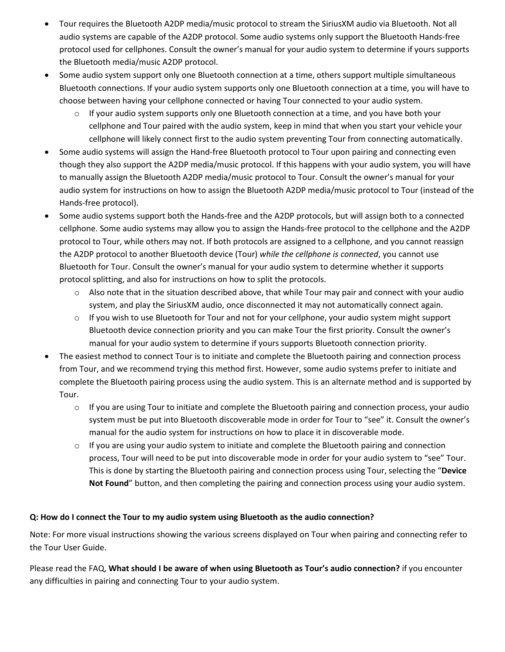- Tour requires the Bluetooth A2DP media/music protocol to stream the SiriusXM audio via Bluetooth. Not all audio systems are capable of the A2DP protocol. Some audio systems only support the Bluetooth Hands-free protocol used for cellphones. Consult the owner's manual for your audio system to determine if yours supports the Bluetooth media/music A2DP protocol.
- Some audio system support only one Bluetooth connection at a time, others support multiple simultaneous Bluetooth connections. If your audio system supports only one Bluetooth connection at a time, you will have to choose between having your cellphone connected or having Tour connected to your audio system.
	- $\circ$  If your audio system supports only one Bluetooth connection at a time, and you have both your cellphone and Tour paired with the audio system, keep in mind that when you start your vehicle your cellphone will likely connect first to the audio system preventing Tour from connecting automatically.
- Some audio systems will assign the Hand-free Bluetooth protocol to Tour upon pairing and connecting even though they also support the A2DP media/music protocol. If this happens with your audio system, you will have to manually assign the Bluetooth A2DP media/music protocol to Tour. Consult the owner's manual for your audio system for instructions on how to assign the Bluetooth A2DP media/music protocol to Tour (instead of the Hands-free protocol).
- Some audio systems support both the Hands-free and the A2DP protocols, but will assign both to a connected cellphone. Some audio systems may allow you to assign the Hands-free protocol to the cellphone and the A2DP protocol to Tour, while others may not. If both protocols are assigned to a cellphone, and you cannot reassign the A2DP protocol to another Bluetooth device (Tour) *while the cellphone is connected*, you cannot use Bluetooth for Tour. Consult the owner's manual for your audio system to determine whether it supports protocol splitting, and also for instructions on how to split the protocols.
	- $\circ$  Also note that in the situation described above, that while Tour may pair and connect with your audio system, and play the SiriusXM audio, once disconnected it may not automatically connect again.
	- $\circ$  If you wish to use Bluetooth for Tour and not for your cellphone, your audio system might support Bluetooth device connection priority and you can make Tour the first priority. Consult the owner's manual for your audio system to determine if yours supports Bluetooth connection priority.
- The easiest method to connect Tour is to initiate and complete the Bluetooth pairing and connection process from Tour, and we recommend trying this method first. However, some audio systems prefer to initiate and complete the Bluetooth pairing process using the audio system. This is an alternate method and is supported by Tour.
	- $\circ$  If you are using Tour to initiate and complete the Bluetooth pairing and connection process, your audio system must be put into Bluetooth discoverable mode in order for Tour to "see" it. Consult the owner's manual for the audio system for instructions on how to place it in discoverable mode.
	- $\circ$  If you are using your audio system to initiate and complete the Bluetooth pairing and connection process, Tour will need to be put into discoverable mode in order for your audio system to "see" Tour. This is done by starting the Bluetooth pairing and connection process using Tour, selecting the "**Device Not Found**" button, and then completing the pairing and connection process using your audio system.

# <span id="page-4-0"></span>**Q: How do I connect the Tour to my audio system using Bluetooth as the audio connection?**

Note: For more visual instructions showing the various screens displayed on Tour when pairing and connecting refer to the Tour User Guide.

Please read the FAQ, **What should I be aware of when using Bluetooth as Tour's audio connection?** if you encounter any difficulties in pairing and connecting Tour to your audio system.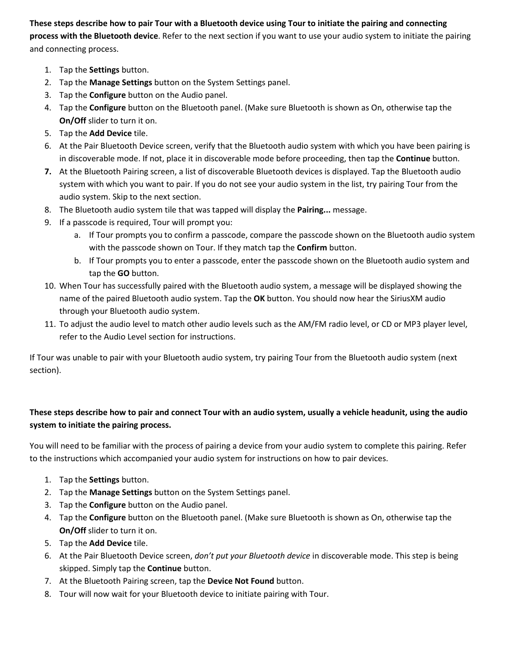**These steps describe how to pair Tour with a Bluetooth device using Tour to initiate the pairing and connecting process with the Bluetooth device**. Refer to the next section if you want to use your audio system to initiate the pairing and connecting process.

- 1. Tap the **Settings** button.
- 2. Tap the **Manage Settings** button on the System Settings panel.
- 3. Tap the **Configure** button on the Audio panel.
- 4. Tap the **Configure** button on the Bluetooth panel. (Make sure Bluetooth is shown as On, otherwise tap the **On/Off** slider to turn it on.
- 5. Tap the **Add Device** tile.
- 6. At the Pair Bluetooth Device screen, verify that the Bluetooth audio system with which you have been pairing is in discoverable mode. If not, place it in discoverable mode before proceeding, then tap the **Continue** button.
- **7.** At the Bluetooth Pairing screen, a list of discoverable Bluetooth devices is displayed. Tap the Bluetooth audio system with which you want to pair. If you do not see your audio system in the list, try pairing Tour from the audio system. Skip to the next section.
- 8. The Bluetooth audio system tile that was tapped will display the **Pairing...** message.
- 9. If a passcode is required, Tour will prompt you:
	- a. If Tour prompts you to confirm a passcode, compare the passcode shown on the Bluetooth audio system with the passcode shown on Tour. If they match tap the **Confirm** button.
	- b. If Tour prompts you to enter a passcode, enter the passcode shown on the Bluetooth audio system and tap the **GO** button.
- 10. When Tour has successfully paired with the Bluetooth audio system, a message will be displayed showing the name of the paired Bluetooth audio system. Tap the **OK** button. You should now hear the SiriusXM audio through your Bluetooth audio system.
- 11. To adjust the audio level to match other audio levels such as the AM/FM radio level, or CD or MP3 player level, refer to the Audio Level section for instructions.

If Tour was unable to pair with your Bluetooth audio system, try pairing Tour from the Bluetooth audio system (next section).

# **These steps describe how to pair and connect Tour with an audio system, usually a vehicle headunit, using the audio system to initiate the pairing process.**

You will need to be familiar with the process of pairing a device from your audio system to complete this pairing. Refer to the instructions which accompanied your audio system for instructions on how to pair devices.

- 1. Tap the **Settings** button.
- 2. Tap the **Manage Settings** button on the System Settings panel.
- 3. Tap the **Configure** button on the Audio panel.
- 4. Tap the **Configure** button on the Bluetooth panel. (Make sure Bluetooth is shown as On, otherwise tap the **On/Off** slider to turn it on.
- 5. Tap the **Add Device** tile.
- 6. At the Pair Bluetooth Device screen, *don't put your Bluetooth device* in discoverable mode. This step is being skipped. Simply tap the **Continue** button.
- 7. At the Bluetooth Pairing screen, tap the **Device Not Found** button.
- 8. Tour will now wait for your Bluetooth device to initiate pairing with Tour.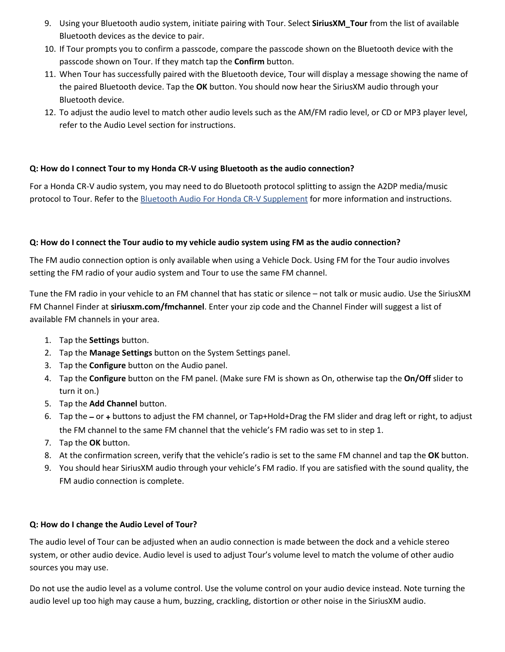- 9. Using your Bluetooth audio system, initiate pairing with Tour. Select **SiriusXM\_Tour** from the list of available Bluetooth devices as the device to pair.
- 10. If Tour prompts you to confirm a passcode, compare the passcode shown on the Bluetooth device with the passcode shown on Tour. If they match tap the **Confirm** button.
- 11. When Tour has successfully paired with the Bluetooth device, Tour will display a message showing the name of the paired Bluetooth device. Tap the **OK** button. You should now hear the SiriusXM audio through your Bluetooth device.
- 12. To adjust the audio level to match other audio levels such as the AM/FM radio level, or CD or MP3 player level, refer to the Audio Level section for instructions.

## <span id="page-6-0"></span>**Q: How do I connect Tour to my Honda CR-V using Bluetooth as the audio connection?**

For a Honda CR-V audio system, you may need to do Bluetooth protocol splitting to assign the A2DP media/music protocol to Tour. Refer to the **Bluetooth Audio For Honda CR-V Supplement** for more information and instructions.

#### <span id="page-6-1"></span>**Q: How do I connect the Tour audio to my vehicle audio system using FM as the audio connection?**

The FM audio connection option is only available when using a Vehicle Dock. Using FM for the Tour audio involves setting the FM radio of your audio system and Tour to use the same FM channel.

Tune the FM radio in your vehicle to an FM channel that has static or silence – not talk or music audio. Use the SiriusXM FM Channel Finder at **siriusxm.com/fmchannel**. Enter your zip code and the Channel Finder will suggest a list of available FM channels in your area.

- 1. Tap the **Settings** button.
- 2. Tap the **Manage Settings** button on the System Settings panel.
- 3. Tap the **Configure** button on the Audio panel.
- 4. Tap the **Configure** button on the FM panel. (Make sure FM is shown as On, otherwise tap the **On/Off** slider to turn it on.)
- 5. Tap the **Add Channel** button.
- 6. Tap the **–** or **+** buttons to adjust the FM channel, or Tap+Hold+Drag the FM slider and drag left or right, to adjust the FM channel to the same FM channel that the vehicle's FM radio was set to in step 1.
- 7. Tap the **OK** button.
- 8. At the confirmation screen, verify that the vehicle's radio is set to the same FM channel and tap the **OK** button.
- 9. You should hear SiriusXM audio through your vehicle's FM radio. If you are satisfied with the sound quality, the FM audio connection is complete.

#### <span id="page-6-2"></span>**Q: How do I change the Audio Level of Tour?**

The audio level of Tour can be adjusted when an audio connection is made between the dock and a vehicle stereo system, or other audio device. Audio level is used to adjust Tour's volume level to match the volume of other audio sources you may use.

Do not use the audio level as a volume control. Use the volume control on your audio device instead. Note turning the audio level up too high may cause a hum, buzzing, crackling, distortion or other noise in the SiriusXM audio.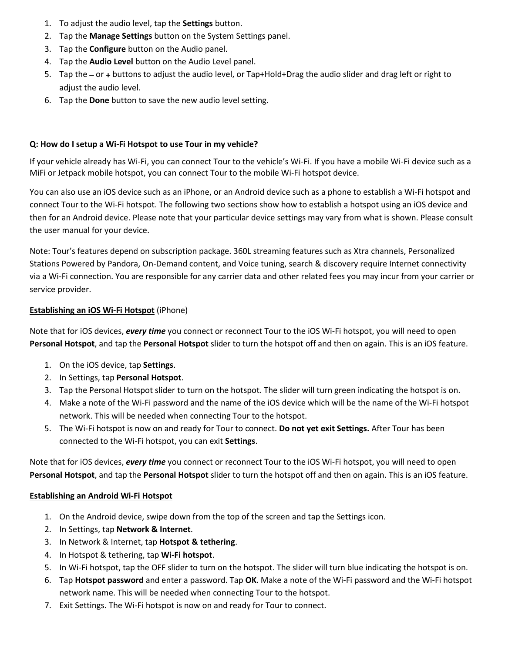- 1. To adjust the audio level, tap the **Settings** button.
- 2. Tap the **Manage Settings** button on the System Settings panel.
- 3. Tap the **Configure** button on the Audio panel.
- 4. Tap the **Audio Level** button on the Audio Level panel.
- 5. Tap the **–** or **+** buttons to adjust the audio level, or Tap+Hold+Drag the audio slider and drag left or right to adjust the audio level.
- 6. Tap the **Done** button to save the new audio level setting.

#### <span id="page-7-0"></span>**Q: How do I setup a Wi-Fi Hotspot to use Tour in my vehicle?**

If your vehicle already has Wi-Fi, you can connect Tour to the vehicle's Wi-Fi. If you have a mobile Wi-Fi device such as a MiFi or Jetpack mobile hotspot, you can connect Tour to the mobile Wi-Fi hotspot device.

You can also use an iOS device such as an iPhone, or an Android device such as a phone to establish a Wi-Fi hotspot and connect Tour to the Wi-Fi hotspot. The following two sections show how to establish a hotspot using an iOS device and then for an Android device. Please note that your particular device settings may vary from what is shown. Please consult the user manual for your device.

Note: Tour's features depend on subscription package. 360L streaming features such as Xtra channels, Personalized Stations Powered by Pandora, On-Demand content, and Voice tuning, search & discovery require Internet connectivity via a Wi-Fi connection. You are responsible for any carrier data and other related fees you may incur from your carrier or service provider.

### **Establishing an iOS Wi-Fi Hotspot** (iPhone)

Note that for iOS devices, *every time* you connect or reconnect Tour to the iOS Wi-Fi hotspot, you will need to open **Personal Hotspot**, and tap the **Personal Hotspot** slider to turn the hotspot off and then on again. This is an iOS feature.

- 1. On the iOS device, tap **Settings**.
- 2. In Settings, tap **Personal Hotspot**.
- 3. Tap the Personal Hotspot slider to turn on the hotspot. The slider will turn green indicating the hotspot is on.
- 4. Make a note of the Wi-Fi password and the name of the iOS device which will be the name of the Wi-Fi hotspot network. This will be needed when connecting Tour to the hotspot.
- 5. The Wi-Fi hotspot is now on and ready for Tour to connect. **Do not yet exit Settings.** After Tour has been connected to the Wi-Fi hotspot, you can exit **Settings**.

Note that for iOS devices, *every time* you connect or reconnect Tour to the iOS Wi-Fi hotspot, you will need to open **Personal Hotspot**, and tap the **Personal Hotspot** slider to turn the hotspot off and then on again. This is an iOS feature.

#### **Establishing an Android Wi-Fi Hotspot**

- 1. On the Android device, swipe down from the top of the screen and tap the Settings icon.
- 2. In Settings, tap **Network & Internet**.
- 3. In Network & Internet, tap **Hotspot & tethering**.
- 4. In Hotspot & tethering, tap **Wi-Fi hotspot**.
- 5. In Wi-Fi hotspot, tap the OFF slider to turn on the hotspot. The slider will turn blue indicating the hotspot is on.
- 6. Tap **Hotspot password** and enter a password. Tap **OK**. Make a note of the Wi-Fi password and the Wi-Fi hotspot network name. This will be needed when connecting Tour to the hotspot.
- 7. Exit Settings. The Wi-Fi hotspot is now on and ready for Tour to connect.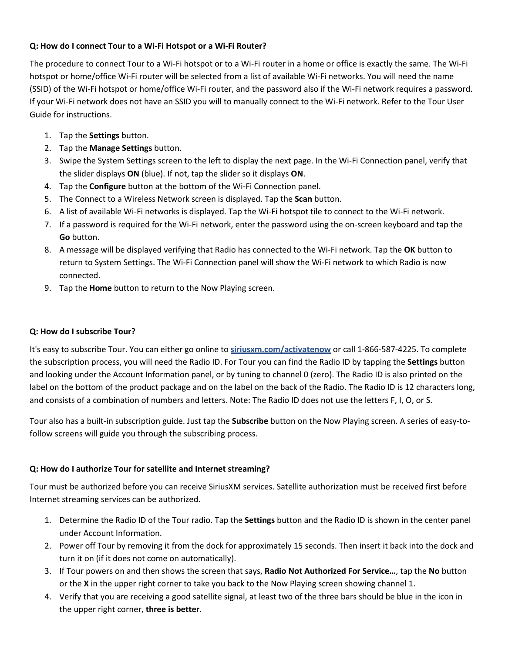# <span id="page-8-0"></span>**Q: How do I connect Tour to a Wi-Fi Hotspot or a Wi-Fi Router?**

The procedure to connect Tour to a Wi-Fi hotspot or to a Wi-Fi router in a home or office is exactly the same. The Wi-Fi hotspot or home/office Wi-Fi router will be selected from a list of available Wi-Fi networks. You will need the name (SSID) of the Wi-Fi hotspot or home/office Wi-Fi router, and the password also if the Wi-Fi network requires a password. If your Wi-Fi network does not have an SSID you will to manually connect to the Wi-Fi network. Refer to the Tour User Guide for instructions.

- 1. Tap the **Settings** button.
- 2. Tap the **Manage Settings** button.
- 3. Swipe the System Settings screen to the left to display the next page. In the Wi-Fi Connection panel, verify that the slider displays **ON** (blue). If not, tap the slider so it displays **ON**.
- 4. Tap the **Configure** button at the bottom of the Wi-Fi Connection panel.
- 5. The Connect to a Wireless Network screen is displayed. Tap the **Scan** button.
- 6. A list of available Wi-Fi networks is displayed. Tap the Wi-Fi hotspot tile to connect to the Wi-Fi network.
- 7. If a password is required for the Wi-Fi network, enter the password using the on-screen keyboard and tap the **Go** button.
- 8. A message will be displayed verifying that Radio has connected to the Wi-Fi network. Tap the **OK** button to return to System Settings. The Wi-Fi Connection panel will show the Wi-Fi network to which Radio is now connected.
- 9. Tap the **Home** button to return to the Now Playing screen.

# <span id="page-8-1"></span>**Q: How do I subscribe Tour?**

It's easy to subscribe Tour. You can either go online to **[siriusxm.com/activatenow](http://siriusxm.com/activatenow)** or call 1-866-587-4225. To complete the subscription process, you will need the Radio ID. For Tour you can find the Radio ID by tapping the **Settings** button and looking under the Account Information panel, or by tuning to channel 0 (zero). The Radio ID is also printed on the label on the bottom of the product package and on the label on the back of the Radio. The Radio ID is 12 characters long, and consists of a combination of numbers and letters. Note: The Radio ID does not use the letters F, I, O, or S.

Tour also has a built-in subscription guide. Just tap the **Subscribe** button on the Now Playing screen. A series of easy-tofollow screens will guide you through the subscribing process.

# <span id="page-8-2"></span>**Q: How do I authorize Tour for satellite and Internet streaming?**

Tour must be authorized before you can receive SiriusXM services. Satellite authorization must be received first before Internet streaming services can be authorized.

- 1. Determine the Radio ID of the Tour radio. Tap the **Settings** button and the Radio ID is shown in the center panel under Account Information.
- 2. Power off Tour by removing it from the dock for approximately 15 seconds. Then insert it back into the dock and turn it on (if it does not come on automatically).
- 3. If Tour powers on and then shows the screen that says, **Radio Not Authorized For Service…**, tap the **No** button or the **X** in the upper right corner to take you back to the Now Playing screen showing channel 1.
- 4. Verify that you are receiving a good satellite signal, at least two of the three bars should be blue in the icon in the upper right corner, **three is better**.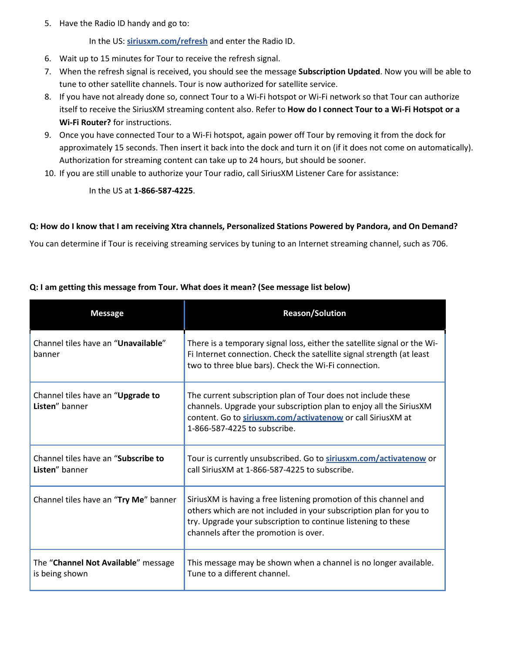5. Have the Radio ID handy and go to:

In the US: **[siriusxm.com/refresh](http://siriusxm.com/refresh)** and enter the Radio ID.

- 6. Wait up to 15 minutes for Tour to receive the refresh signal.
- 7. When the refresh signal is received, you should see the message **Subscription Updated**. Now you will be able to tune to other satellite channels. Tour is now authorized for satellite service.
- 8. If you have not already done so, connect Tour to a Wi-Fi hotspot or Wi-Fi network so that Tour can authorize itself to receive the SiriusXM streaming content also. Refer to **How do I connect Tour to a Wi-Fi Hotspot or a Wi-Fi Router?** for instructions.
- 9. Once you have connected Tour to a Wi-Fi hotspot, again power off Tour by removing it from the dock for approximately 15 seconds. Then insert it back into the dock and turn it on (if it does not come on automatically). Authorization for streaming content can take up to 24 hours, but should be sooner.
- 10. If you are still unable to authorize your Tour radio, call SiriusXM Listener Care for assistance:

In the US at **1-866-587-4225**.

#### <span id="page-9-0"></span>**Q: How do I know that I am receiving Xtra channels, Personalized Stations Powered by Pandora, and On Demand?**

You can determine if Tour is receiving streaming services by tuning to an Internet streaming channel, such as 706.

| <b>Message</b>                                        | <b>Reason/Solution</b>                                                                                                                                                                                                                            |
|-------------------------------------------------------|---------------------------------------------------------------------------------------------------------------------------------------------------------------------------------------------------------------------------------------------------|
| Channel tiles have an "Unavailable"<br>banner         | There is a temporary signal loss, either the satellite signal or the Wi-<br>Fi Internet connection. Check the satellite signal strength (at least<br>two to three blue bars). Check the Wi-Fi connection.                                         |
| Channel tiles have an "Upgrade to<br>Listen" banner   | The current subscription plan of Tour does not include these<br>channels. Upgrade your subscription plan to enjoy all the SiriusXM<br>content. Go to siriusxm.com/activatenow or call SiriusXM at<br>1-866-587-4225 to subscribe.                 |
| Channel tiles have an "Subscribe to<br>Listen" banner | Tour is currently unsubscribed. Go to siriusxm.com/activatenow or<br>call Sirius XM at 1-866-587-4225 to subscribe.                                                                                                                               |
| Channel tiles have an "Try Me" banner                 | SiriusXM is having a free listening promotion of this channel and<br>others which are not included in your subscription plan for you to<br>try. Upgrade your subscription to continue listening to these<br>channels after the promotion is over. |
| The "Channel Not Available" message<br>is being shown | This message may be shown when a channel is no longer available.<br>Tune to a different channel.                                                                                                                                                  |

### <span id="page-9-1"></span>**Q: I am getting this message from Tour. What does it mean? (See message list below)**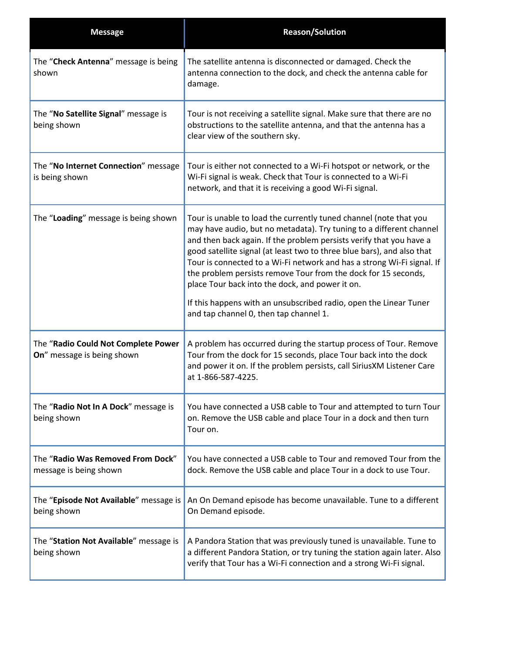| <b>Message</b>                                                    | <b>Reason/Solution</b>                                                                                                                                                                                                                                                                                                                                                                                                                                                                                                                                                                                  |
|-------------------------------------------------------------------|---------------------------------------------------------------------------------------------------------------------------------------------------------------------------------------------------------------------------------------------------------------------------------------------------------------------------------------------------------------------------------------------------------------------------------------------------------------------------------------------------------------------------------------------------------------------------------------------------------|
| The "Check Antenna" message is being<br>shown                     | The satellite antenna is disconnected or damaged. Check the<br>antenna connection to the dock, and check the antenna cable for<br>damage.                                                                                                                                                                                                                                                                                                                                                                                                                                                               |
| The "No Satellite Signal" message is<br>being shown               | Tour is not receiving a satellite signal. Make sure that there are no<br>obstructions to the satellite antenna, and that the antenna has a<br>clear view of the southern sky.                                                                                                                                                                                                                                                                                                                                                                                                                           |
| The "No Internet Connection" message<br>is being shown            | Tour is either not connected to a Wi-Fi hotspot or network, or the<br>Wi-Fi signal is weak. Check that Tour is connected to a Wi-Fi<br>network, and that it is receiving a good Wi-Fi signal.                                                                                                                                                                                                                                                                                                                                                                                                           |
| The "Loading" message is being shown                              | Tour is unable to load the currently tuned channel (note that you<br>may have audio, but no metadata). Try tuning to a different channel<br>and then back again. If the problem persists verify that you have a<br>good satellite signal (at least two to three blue bars), and also that<br>Tour is connected to a Wi-Fi network and has a strong Wi-Fi signal. If<br>the problem persists remove Tour from the dock for 15 seconds,<br>place Tour back into the dock, and power it on.<br>If this happens with an unsubscribed radio, open the Linear Tuner<br>and tap channel 0, then tap channel 1. |
| The "Radio Could Not Complete Power<br>On" message is being shown | A problem has occurred during the startup process of Tour. Remove<br>Tour from the dock for 15 seconds, place Tour back into the dock<br>and power it on. If the problem persists, call SiriusXM Listener Care<br>at 1-866-587-4225.                                                                                                                                                                                                                                                                                                                                                                    |
| The "Radio Not In A Dock" message is<br>being shown               | You have connected a USB cable to Tour and attempted to turn Tour<br>on. Remove the USB cable and place Tour in a dock and then turn<br>Tour on.                                                                                                                                                                                                                                                                                                                                                                                                                                                        |
| The "Radio Was Removed From Dock"<br>message is being shown       | You have connected a USB cable to Tour and removed Tour from the<br>dock. Remove the USB cable and place Tour in a dock to use Tour.                                                                                                                                                                                                                                                                                                                                                                                                                                                                    |
| The "Episode Not Available" message is<br>being shown             | An On Demand episode has become unavailable. Tune to a different<br>On Demand episode.                                                                                                                                                                                                                                                                                                                                                                                                                                                                                                                  |
| The "Station Not Available" message is<br>being shown             | A Pandora Station that was previously tuned is unavailable. Tune to<br>a different Pandora Station, or try tuning the station again later. Also<br>verify that Tour has a Wi-Fi connection and a strong Wi-Fi signal.                                                                                                                                                                                                                                                                                                                                                                                   |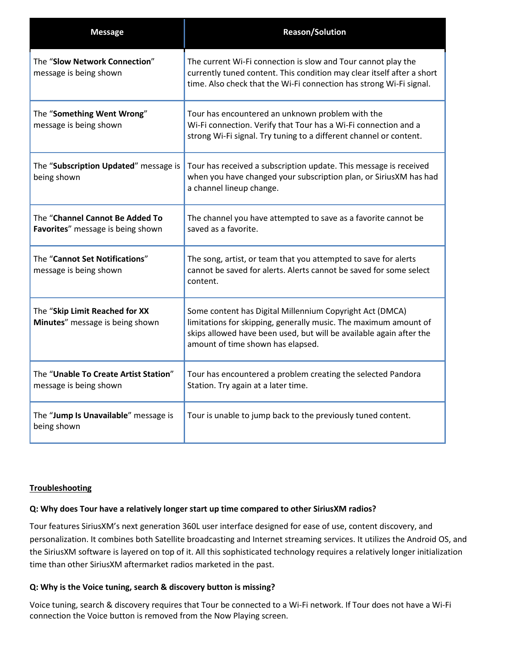| <b>Message</b>                                                       | <b>Reason/Solution</b>                                                                                                                                                                                                                   |
|----------------------------------------------------------------------|------------------------------------------------------------------------------------------------------------------------------------------------------------------------------------------------------------------------------------------|
| The "Slow Network Connection"<br>message is being shown              | The current Wi-Fi connection is slow and Tour cannot play the<br>currently tuned content. This condition may clear itself after a short<br>time. Also check that the Wi-Fi connection has strong Wi-Fi signal.                           |
| The "Something Went Wrong"<br>message is being shown                 | Tour has encountered an unknown problem with the<br>Wi-Fi connection. Verify that Tour has a Wi-Fi connection and a<br>strong Wi-Fi signal. Try tuning to a different channel or content.                                                |
| The "Subscription Updated" message is<br>being shown                 | Tour has received a subscription update. This message is received<br>when you have changed your subscription plan, or SiriusXM has had<br>a channel lineup change.                                                                       |
| The "Channel Cannot Be Added To<br>Favorites" message is being shown | The channel you have attempted to save as a favorite cannot be<br>saved as a favorite.                                                                                                                                                   |
| The "Cannot Set Notifications"<br>message is being shown             | The song, artist, or team that you attempted to save for alerts<br>cannot be saved for alerts. Alerts cannot be saved for some select<br>content.                                                                                        |
| The "Skip Limit Reached for XX<br>Minutes" message is being shown    | Some content has Digital Millennium Copyright Act (DMCA)<br>limitations for skipping, generally music. The maximum amount of<br>skips allowed have been used, but will be available again after the<br>amount of time shown has elapsed. |
| The "Unable To Create Artist Station"<br>message is being shown      | Tour has encountered a problem creating the selected Pandora<br>Station. Try again at a later time.                                                                                                                                      |
| The "Jump Is Unavailable" message is<br>being shown                  | Tour is unable to jump back to the previously tuned content.                                                                                                                                                                             |

# **Troubleshooting**

#### <span id="page-11-0"></span>**Q: Why does Tour have a relatively longer start up time compared to other SiriusXM radios?**

Tour features SiriusXM's next generation 360L user interface designed for ease of use, content discovery, and personalization. It combines both Satellite broadcasting and Internet streaming services. It utilizes the Android OS, and the SiriusXM software is layered on top of it. All this sophisticated technology requires a relatively longer initialization time than other SiriusXM aftermarket radios marketed in the past.

#### <span id="page-11-1"></span>**Q: Why is the Voice tuning, search & discovery button is missing?**

Voice tuning, search & discovery requires that Tour be connected to a Wi-Fi network. If Tour does not have a Wi-Fi connection the Voice button is removed from the Now Playing screen.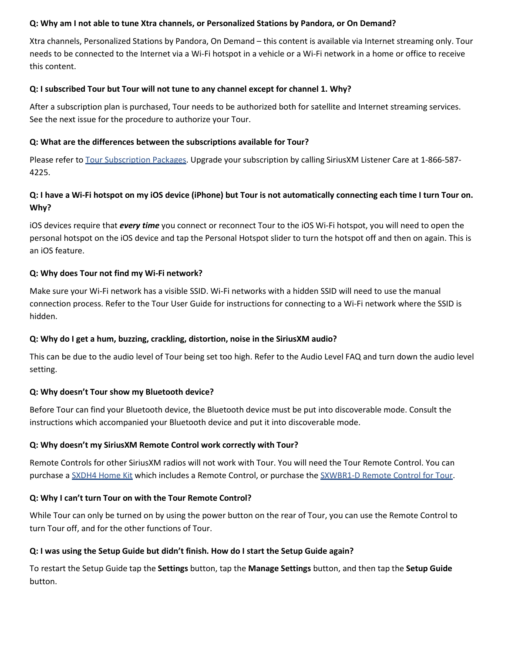#### <span id="page-12-0"></span>**Q: Why am I not able to tune Xtra channels, or Personalized Stations by Pandora, or On Demand?**

Xtra channels, Personalized Stations by Pandora, On Demand – this content is available via Internet streaming only. Tour needs to be connected to the Internet via a Wi-Fi hotspot in a vehicle or a Wi-Fi network in a home or office to receive this content.

#### <span id="page-12-1"></span>**Q: I subscribed Tour but Tour will not tune to any channel except for channel 1. Why?**

After a subscription plan is purchased, Tour needs to be authorized both for satellite and Internet streaming services. See the next issue for the procedure to authorize your Tour.

### <span id="page-12-2"></span>**Q: What are the differences between the subscriptions available for Tour?**

Please refer t[o Tour Subscription Packages.](http://siriusretail.com/Product%20Support/Tour_Subscription_Package_One_June-Aug.pdf) Upgrade your subscription by calling SiriusXM Listener Care at 1-866-587- 4225.

# <span id="page-12-3"></span>**Q: I have a Wi-Fi hotspot on my iOS device (iPhone) but Tour is not automatically connecting each time I turn Tour on. Why?**

iOS devices require that *every time* you connect or reconnect Tour to the iOS Wi-Fi hotspot, you will need to open the personal hotspot on the iOS device and tap the Personal Hotspot slider to turn the hotspot off and then on again. This is an iOS feature.

### <span id="page-12-4"></span>**Q: Why does Tour not find my Wi-Fi network?**

Make sure your Wi-Fi network has a visible SSID. Wi-Fi networks with a hidden SSID will need to use the manual connection process. Refer to the Tour User Guide for instructions for connecting to a Wi-Fi network where the SSID is hidden.

# <span id="page-12-5"></span>**Q: Why do I get a hum, buzzing, crackling, distortion, noise in the SiriusXM audio?**

This can be due to the audio level of Tour being set too high. Refer to the Audio Level FAQ and turn down the audio level setting.

# <span id="page-12-6"></span>**Q: Why doesn't Tour show my Bluetooth device?**

Before Tour can find your Bluetooth device, the Bluetooth device must be put into discoverable mode. Consult the instructions which accompanied your Bluetooth device and put it into discoverable mode.

# <span id="page-12-7"></span>**Q: Why doesn't my SiriusXM Remote Control work correctly with Tour?**

Remote Controls for other SiriusXM radios will not work with Tour. You will need the Tour Remote Control. You can purchase a [SXDH4 Home Kit](https://shop.siriusxm.com/siriusxm-dock-and-play-hk-dh4) which includes a Remote Control, or purchase th[e SXWBR1-D Remote Control for Tour.](https://shop.siriusxm.com/Remote-Control-for-SiriusXM-Tour-Radio)

# <span id="page-12-8"></span>**Q: Why I can't turn Tour on with the Tour Remote Control?**

While Tour can only be turned on by using the power button on the rear of Tour, you can use the Remote Control to turn Tour off, and for the other functions of Tour.

# <span id="page-12-9"></span>**Q: I was using the Setup Guide but didn't finish. How do I start the Setup Guide again?**

To restart the Setup Guide tap the **Settings** button, tap the **Manage Settings** button, and then tap the **Setup Guide** button.